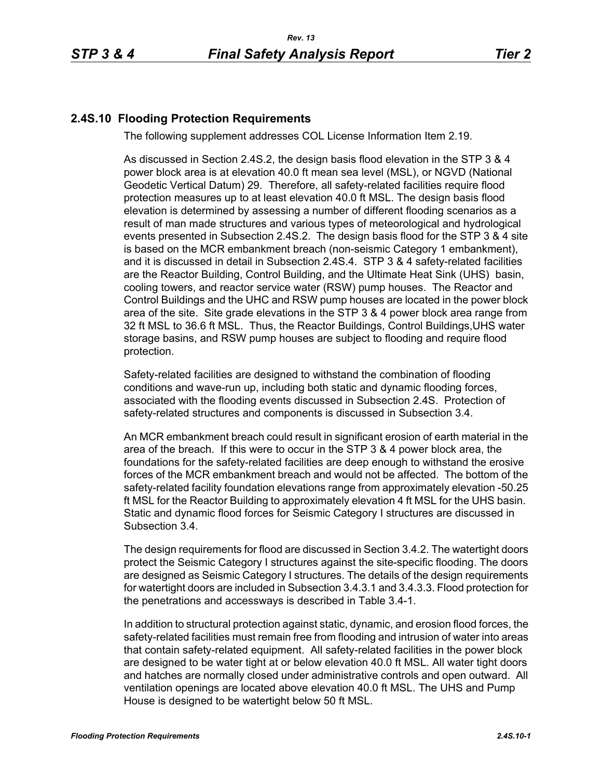## **2.4S.10 Flooding Protection Requirements**

The following supplement addresses COL License Information Item 2.19.

As discussed in Section 2.4S.2, the design basis flood elevation in the STP 3 & 4 power block area is at elevation 40.0 ft mean sea level (MSL), or NGVD (National Geodetic Vertical Datum) 29. Therefore, all safety-related facilities require flood protection measures up to at least elevation 40.0 ft MSL. The design basis flood elevation is determined by assessing a number of different flooding scenarios as a result of man made structures and various types of meteorological and hydrological events presented in Subsection 2.4S.2. The design basis flood for the STP 3 & 4 site is based on the MCR embankment breach (non-seismic Category 1 embankment), and it is discussed in detail in Subsection 2.4S.4. STP 3 & 4 safety-related facilities are the Reactor Building, Control Building, and the Ultimate Heat Sink (UHS) basin, cooling towers, and reactor service water (RSW) pump houses. The Reactor and Control Buildings and the UHC and RSW pump houses are located in the power block area of the site. Site grade elevations in the STP 3 & 4 power block area range from 32 ft MSL to 36.6 ft MSL. Thus, the Reactor Buildings, Control Buildings,UHS water storage basins, and RSW pump houses are subject to flooding and require flood protection.

Safety-related facilities are designed to withstand the combination of flooding conditions and wave-run up, including both static and dynamic flooding forces, associated with the flooding events discussed in Subsection 2.4S. Protection of safety-related structures and components is discussed in Subsection 3.4.

An MCR embankment breach could result in significant erosion of earth material in the area of the breach. If this were to occur in the STP 3 & 4 power block area, the foundations for the safety-related facilities are deep enough to withstand the erosive forces of the MCR embankment breach and would not be affected. The bottom of the safety-related facility foundation elevations range from approximately elevation -50.25 ft MSL for the Reactor Building to approximately elevation 4 ft MSL for the UHS basin. Static and dynamic flood forces for Seismic Category I structures are discussed in Subsection 3.4.

The design requirements for flood are discussed in Section 3.4.2. The watertight doors protect the Seismic Category I structures against the site-specific flooding. The doors are designed as Seismic Category I structures. The details of the design requirements for watertight doors are included in Subsection 3.4.3.1 and 3.4.3.3. Flood protection for the penetrations and accessways is described in Table 3.4-1.

In addition to structural protection against static, dynamic, and erosion flood forces, the safety-related facilities must remain free from flooding and intrusion of water into areas that contain safety-related equipment. All safety-related facilities in the power block are designed to be water tight at or below elevation 40.0 ft MSL. All water tight doors and hatches are normally closed under administrative controls and open outward. All ventilation openings are located above elevation 40.0 ft MSL. The UHS and Pump House is designed to be watertight below 50 ft MSL.